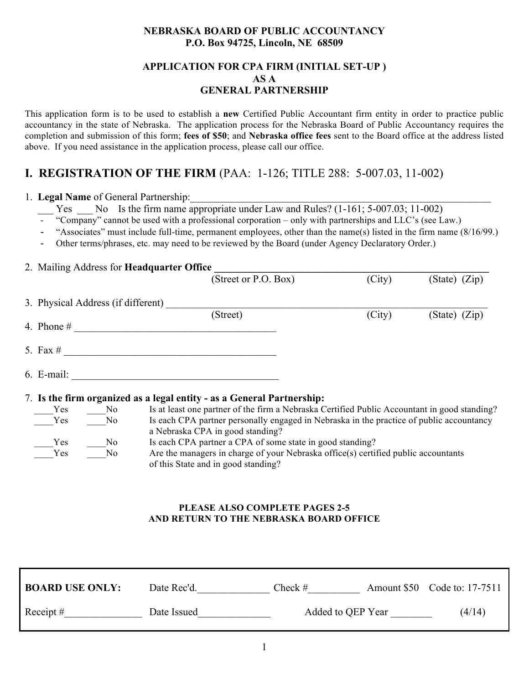## **NEBRASKA BOARD OF PUBLIC ACCOUNTANCY P.O. Box 94725, Lincoln, NE 68509**

## **APPLICATION FOR CPA FIRM (INITIAL SET-UP ) AS A GENERAL PARTNERSHIP**

This application form is to be used to establish a **new** Certified Public Accountant firm entity in order to practice public accountancy in the state of Nebraska. The application process for the Nebraska Board of Public Accountancy requires the completion and submission of this form; **fees of \$50**; and **Nebraska office fees** sent to the Board office at the address listed above. If you need assistance in the application process, please call our office.

# **I. REGISTRATION OF THE FIRM** (PAA: 1-126; TITLE 288: 5-007.03, 11-002)

## 1. **Legal Name** of General Partnership:

- Yes No Is the firm name appropriate under Law and Rules? (1-161; 5-007.03; 11-002)
- "Company" cannot be used with a professional corporation only with partnerships and LLC's (see Law.)
- "Associates" must include full-time, permanent employees, other than the name(s) listed in the firm name (8/16/99.)
- Other terms/phrases, etc. may need to be reviewed by the Board (under Agency Declaratory Order.)

# 2. Mailing Address for **Headquarter Office**

|              |                                    | (Street or P.O. Box)                                                                         | (City) | $(State)$ $(Zip)$ |
|--------------|------------------------------------|----------------------------------------------------------------------------------------------|--------|-------------------|
|              | 3. Physical Address (if different) |                                                                                              |        |                   |
|              |                                    | (Street)                                                                                     | (City) | $(State)$ $(Zip)$ |
| 4. Phone $#$ |                                    |                                                                                              |        |                   |
|              |                                    |                                                                                              |        |                   |
| 5. Fax $#$   |                                    |                                                                                              |        |                   |
|              |                                    |                                                                                              |        |                   |
| $6.$ E-mail: |                                    |                                                                                              |        |                   |
|              |                                    | 7. Is the firm organized as a legal entity - as a General Partnership:                       |        |                   |
| Yes          | N <sub>0</sub>                     | Is at least one partner of the firm a Nebraska Certified Public Accountant in good standing? |        |                   |
| Yes          | No.                                | Is each CPA partner personally engaged in Nebraska in the practice of public accountancy     |        |                   |
|              |                                    | a Nebraska CPA in good standing?                                                             |        |                   |
| Yes          | No.                                | Is each CPA partner a CPA of some state in good standing?                                    |        |                   |
| Yes          | N <sub>0</sub>                     | Are the managers in charge of your Nebraska office(s) certified public accountants           |        |                   |

## **PLEASE ALSO COMPLETE PAGES 2-5 AND RETURN TO THE NEBRASKA BOARD OFFICE**

of this State and in good standing?

| <b>BOARD USE ONLY:</b> | Date Rec'd. | $Check \#$        | Amount \$50 Code to: 17-7511 |
|------------------------|-------------|-------------------|------------------------------|
| Receipt #              | Date Issued | Added to QEP Year | (4/14)                       |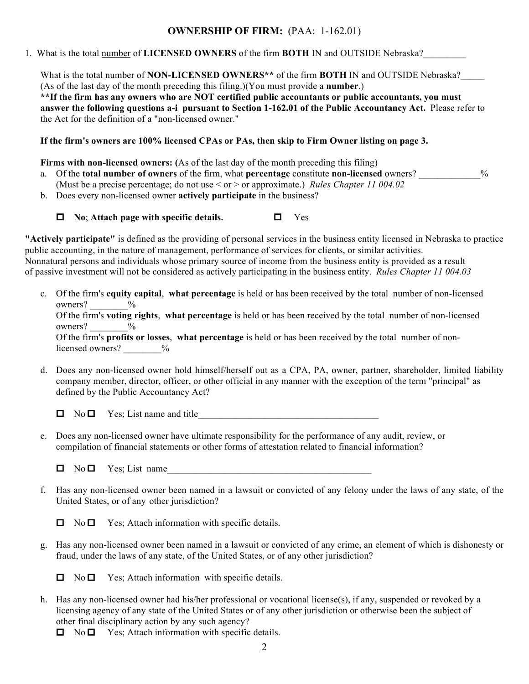# **OWNERSHIP OF FIRM:** (PAA: 1-162.01)

1. What is the total number of **LICENSED OWNERS** of the firm **BOTH** IN and OUTSIDE Nebraska?\_\_\_\_\_\_\_\_\_

What is the total <u>number</u> of **NON-LICENSED OWNERS**\*\* of the firm **BOTH** IN and OUTSIDE Nebraska? (As of the last day of the month preceding this filing.)(You must provide a **number**.) **\*\*If the firm has any owners who are NOT certified public accountants or public accountants, you must answer the following questions a-i pursuant to Section 1-162.01 of the Public Accountancy Act.** Please refer to the Act for the definition of a "non-licensed owner."

**If the firm's owners are 100% licensed CPAs or PAs, then skip to Firm Owner listing on page 3.**

**Firms with non-licensed owners: (**As of the last day of the month preceding this filing)

- a. Of the **total number of owners** of the firm, what **percentage** constitute **non-licensed** owners? \_\_\_\_\_\_\_\_\_\_\_\_\_% (Must be a precise percentage; do not use < or > or approximate.) *Rules Chapter 11 004.02*
- b. Does every non-licensed owner **actively participate** in the business?

□ No; Attach page with specific details. □ Yes

**"Actively participate"** is defined as the providing of personal services in the business entity licensed in Nebraska to practice public accounting, in the nature of management, performance of services for clients, or similar activities. Nonnatural persons and individuals whose primary source of income from the business entity is provided as a result of passive investment will not be considered as actively participating in the business entity. *Rules Chapter 11 004.03*

c. Of the firm's **equity capital**, **what percentage** is held or has been received by the total number of non-licensed owners?  $\frac{6}{6}$ 

Of the firm's **voting rights**, **what percentage** is held or has been received by the total number of non-licensed owners?  $\frac{9}{6}$ 

Of the firm's **profits or losses**, **what percentage** is held or has been received by the total number of nonlicensed owners?  $\frac{9}{6}$ 

d. Does any non-licensed owner hold himself/herself out as a CPA, PA, owner, partner, shareholder, limited liability company member, director, officer, or other official in any manner with the exception of the term "principal" as defined by the Public Accountancy Act?

 $\Box$  No  $\Box$  Yes; List name and title

- e. Does any non-licensed owner have ultimate responsibility for the performance of any audit, review, or compilation of financial statements or other forms of attestation related to financial information?
	- $\Box$  No  $\Box$  Yes; List name
- f. Has any non-licensed owner been named in a lawsuit or convicted of any felony under the laws of any state, of the United States, or of any other jurisdiction?
	- $\Box$  No  $\Box$  Yes; Attach information with specific details.
- g. Has any non-licensed owner been named in a lawsuit or convicted of any crime, an element of which is dishonesty or fraud, under the laws of any state, of the United States, or of any other jurisdiction?

 $\Box$  No  $\Box$  Yes; Attach information with specific details.

h. Has any non-licensed owner had his/her professional or vocational license(s), if any, suspended or revoked by a licensing agency of any state of the United States or of any other jurisdiction or otherwise been the subject of other final disciplinary action by any such agency?

 $\Box$  No  $\Box$  Yes; Attach information with specific details.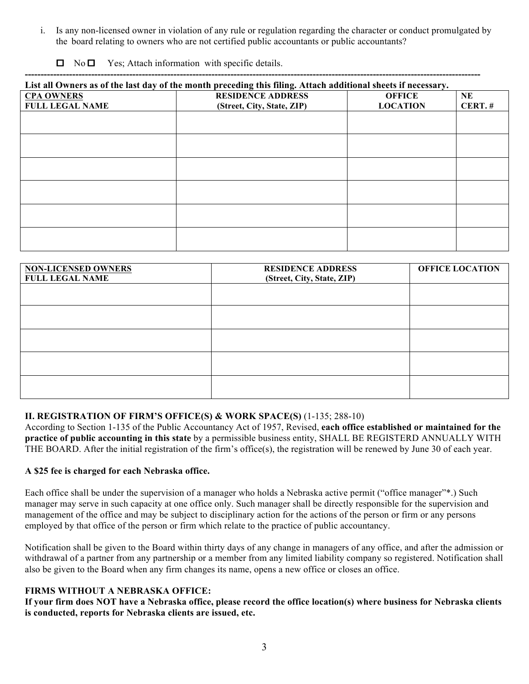i. Is any non-licensed owner in violation of any rule or regulation regarding the character or conduct promulgated by the board relating to owners who are not certified public accountants or public accountants?

 $\Box$  No  $\Box$  Yes; Attach information with specific details.

| List all Owners as of the last day of the month preceding this filing. Attach additional sheets if necessary. |                                                        |                                  |                 |  |  |
|---------------------------------------------------------------------------------------------------------------|--------------------------------------------------------|----------------------------------|-----------------|--|--|
| <b>CPA OWNERS</b><br><b>FULL LEGAL NAME</b>                                                                   | <b>RESIDENCE ADDRESS</b><br>(Street, City, State, ZIP) | <b>OFFICE</b><br><b>LOCATION</b> | NE<br>$CERT.$ # |  |  |
|                                                                                                               |                                                        |                                  |                 |  |  |
|                                                                                                               |                                                        |                                  |                 |  |  |
|                                                                                                               |                                                        |                                  |                 |  |  |
|                                                                                                               |                                                        |                                  |                 |  |  |
|                                                                                                               |                                                        |                                  |                 |  |  |
|                                                                                                               |                                                        |                                  |                 |  |  |

| <b>RESIDENCE ADDRESS</b> | <b>OFFICE LOCATION</b>     |
|--------------------------|----------------------------|
|                          |                            |
|                          |                            |
|                          |                            |
|                          |                            |
|                          |                            |
|                          |                            |
|                          | (Street, City, State, ZIP) |

## **II. REGISTRATION OF FIRM'S OFFICE(S) & WORK SPACE(S)** (1-135; 288-10)

According to Section 1-135 of the Public Accountancy Act of 1957, Revised, **each office established or maintained for the practice of public accounting in this state** by a permissible business entity, SHALL BE REGISTERD ANNUALLY WITH THE BOARD. After the initial registration of the firm's office(s), the registration will be renewed by June 30 of each year.

#### **A \$25 fee is charged for each Nebraska office.**

Each office shall be under the supervision of a manager who holds a Nebraska active permit ("office manager"\*.) Such manager may serve in such capacity at one office only. Such manager shall be directly responsible for the supervision and management of the office and may be subject to disciplinary action for the actions of the person or firm or any persons employed by that office of the person or firm which relate to the practice of public accountancy.

Notification shall be given to the Board within thirty days of any change in managers of any office, and after the admission or withdrawal of a partner from any partnership or a member from any limited liability company so registered. Notification shall also be given to the Board when any firm changes its name, opens a new office or closes an office.

### **FIRMS WITHOUT A NEBRASKA OFFICE:**

**If your firm does NOT have a Nebraska office, please record the office location(s) where business for Nebraska clients is conducted, reports for Nebraska clients are issued, etc.**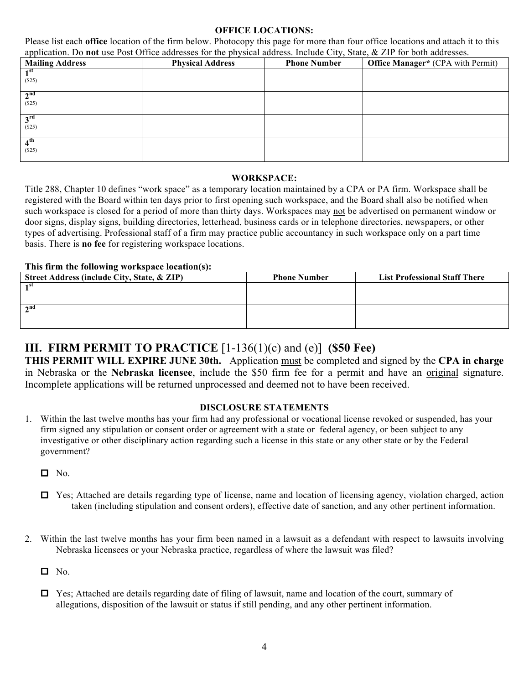### **OFFICE LOCATIONS:**

Please list each **office** location of the firm below. Photocopy this page for more than four office locations and attach it to this application. Do **not** use Post Office addresses for the physical address. Include City, State, & ZIP for both addresses.

| <b>Mailing Address</b>       | <b>Physical Address</b> | <b>Phone Number</b> | <b>Office Manager*</b> (CPA with Permit) |
|------------------------------|-------------------------|---------------------|------------------------------------------|
| 1 <sup>st</sup><br>(\$25)    |                         |                     |                                          |
| 2 <sup>nd</sup><br>$($ \$25) |                         |                     |                                          |
| 3 <sup>rd</sup><br>(\$25)    |                         |                     |                                          |
| 4 <sup>th</sup><br>(\$25)    |                         |                     |                                          |

#### **WORKSPACE:**

Title 288, Chapter 10 defines "work space" as a temporary location maintained by a CPA or PA firm. Workspace shall be registered with the Board within ten days prior to first opening such workspace, and the Board shall also be notified when such workspace is closed for a period of more than thirty days. Workspaces may not be advertised on permanent window or door signs, display signs, building directories, letterhead, business cards or in telephone directories, newspapers, or other types of advertising. Professional staff of a firm may practice public accountancy in such workspace only on a part time basis. There is **no fee** for registering workspace locations.

### **This firm the following workspace location(s):**

| Street Address (include City, State, & ZIP) | <b>Phone Number</b> | <b>List Professional Staff There</b> |
|---------------------------------------------|---------------------|--------------------------------------|
| ⊣ st                                        |                     |                                      |
|                                             |                     |                                      |
| $\sim$ nd                                   |                     |                                      |
|                                             |                     |                                      |

# **III. FIRM PERMIT TO PRACTICE** [1-136(1)(c) and (e)] **(\$50 Fee)**

**THIS PERMIT WILL EXPIRE JUNE 30th.** Application must be completed and signed by the **CPA in charge** in Nebraska or the **Nebraska licensee**, include the \$50 firm fee for a permit and have an original signature. Incomplete applications will be returned unprocessed and deemed not to have been received.

#### **DISCLOSURE STATEMENTS**

- 1. Within the last twelve months has your firm had any professional or vocational license revoked or suspended, has your firm signed any stipulation or consent order or agreement with a state or federal agency, or been subject to any investigative or other disciplinary action regarding such a license in this state or any other state or by the Federal government?
	- $\Box$  No.
	- $\Box$  Yes; Attached are details regarding type of license, name and location of licensing agency, violation charged, action taken (including stipulation and consent orders), effective date of sanction, and any other pertinent information.
- 2. Within the last twelve months has your firm been named in a lawsuit as a defendant with respect to lawsuits involving Nebraska licensees or your Nebraska practice, regardless of where the lawsuit was filed?

 $\Box$  No.

 $\Box$  Yes; Attached are details regarding date of filing of lawsuit, name and location of the court, summary of allegations, disposition of the lawsuit or status if still pending, and any other pertinent information.